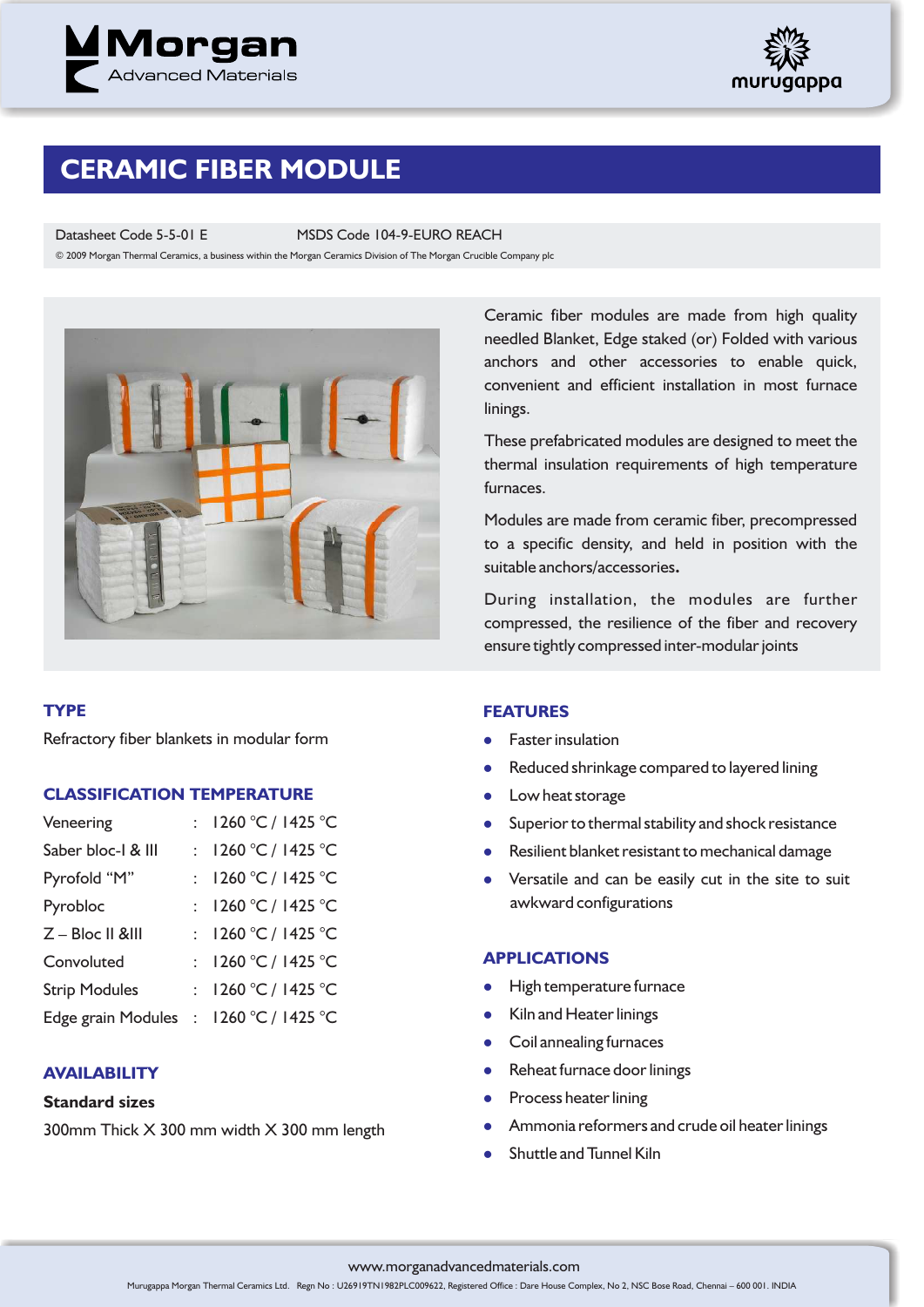



## **CERAMIC FIBER MODULE**

Datasheet Code 5-5-01 E MSDS Code 104-9-EURO REACH

© 2009 Morgan Thermal Ceramics, a business within the Morgan Ceramics Division of The Morgan Crucible Company plc



#### **TYPE**

Refractory fiber blankets in modular form

#### **CLASSIFICATION TEMPERATURE**

| Veneering                              | : $1260 °C / 1425 °C$ |
|----------------------------------------|-----------------------|
| Saber bloc-I & III                     | : $1260 °C / 1425 °C$ |
| Pyrofold "M"                           | : $1260 °C / 1425 °C$ |
| Pyrobloc                               | : $1260 °C / 1425 °C$ |
| Z - Bloc II &III                       | : $1260 °C / 1425 °C$ |
| Convoluted                             | : $1260 °C / 1425 °C$ |
| <b>Strip Modules</b>                   | : $1260 °C / 1425 °C$ |
| Edge grain Modules : 1260 °C / 1425 °C |                       |

#### **AVAILABILITY**

#### **Standard sizes**

300mm Thick X 300 mm width X 300 mm length

Ceramic fiber modules are made from high quality needled Blanket, Edge staked (or) Folded with various anchors and other accessories to enable quick, convenient and efficient installation in most furnace linings.

These prefabricated modules are designed to meet the thermal insulation requirements of high temperature furnaces.

Modules are made from ceramic fiber, precompressed to a specific density, and held in position with the suitable anchors/accessories**.**

During installation, the modules are further compressed, the resilience of the fiber and recovery ensure tightly compressed inter-modular joints

#### **FEATURES**

- $\bullet$ Faster insulation
- $\bullet$ Reduced shrinkage compared to layered lining
- $\bullet$ Low heat storage
- $\bullet$ Superior to thermal stability and shock resistance
- **•** Resilient blanket resistant to mechanical damage
- Versatile and can be easily cut in the site to suit awkward configurations

#### **APPLICATIONS**

- **•** High temperature furnace
- Kiln and Heater linings
- $\bullet$ Coil annealing furnaces
- Reheat furnace door linings
- $\bullet$ Process heater lining
- l Ammonia reformers and crude oil heater linings
- $\bullet$ Shuttle and Tunnel Kiln

#### www.morganadvancedmaterials.com